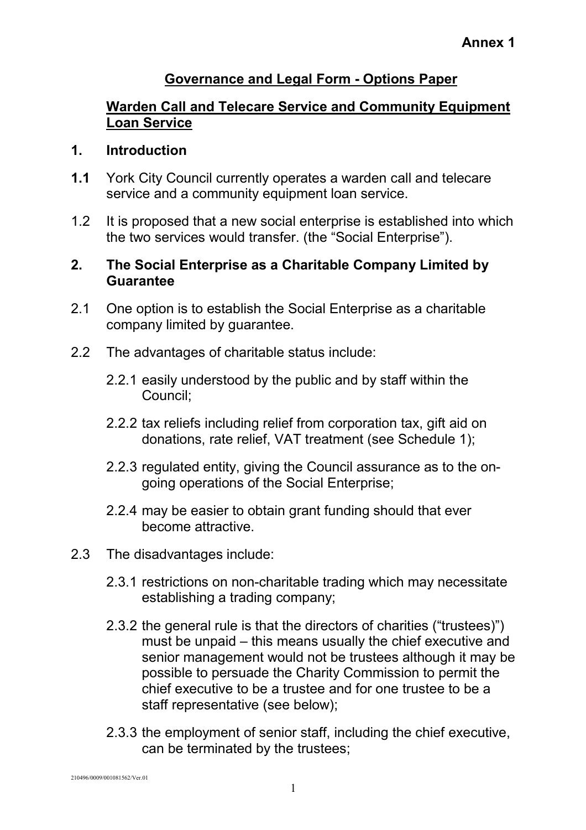### **Governance and Legal Form - Options Paper**

#### **Warden Call and Telecare Service and Community Equipment Loan Service**

#### **1. Introduction**

- **1.1** York City Council currently operates a warden call and telecare service and a community equipment loan service.
- 1.2 It is proposed that a new social enterprise is established into which the two services would transfer. (the "Social Enterprise").

#### **2. The Social Enterprise as a Charitable Company Limited by Guarantee**

- 2.1 One option is to establish the Social Enterprise as a charitable company limited by guarantee.
- 2.2 The advantages of charitable status include:
	- 2.2.1 easily understood by the public and by staff within the Council;
	- 2.2.2 tax reliefs including relief from corporation tax, gift aid on donations, rate relief, VAT treatment (see Schedule 1);
	- 2.2.3 regulated entity, giving the Council assurance as to the ongoing operations of the Social Enterprise;
	- 2.2.4 may be easier to obtain grant funding should that ever become attractive.
- 2.3 The disadvantages include:
	- 2.3.1 restrictions on non-charitable trading which may necessitate establishing a trading company;
	- 2.3.2 the general rule is that the directors of charities ("trustees)") must be unpaid – this means usually the chief executive and senior management would not be trustees although it may be possible to persuade the Charity Commission to permit the chief executive to be a trustee and for one trustee to be a staff representative (see below);
	- 2.3.3 the employment of senior staff, including the chief executive, can be terminated by the trustees;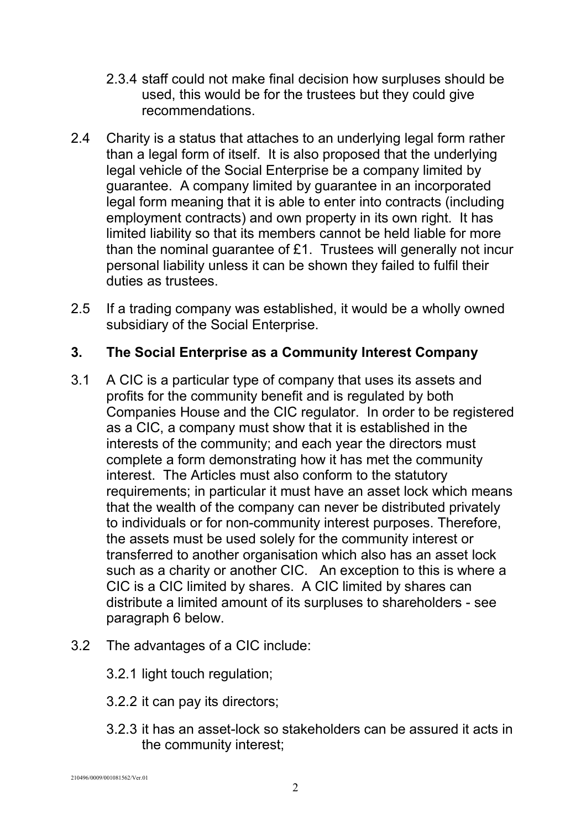- 2.3.4 staff could not make final decision how surpluses should be used, this would be for the trustees but they could give recommendations.
- 2.4 Charity is a status that attaches to an underlying legal form rather than a legal form of itself. It is also proposed that the underlying legal vehicle of the Social Enterprise be a company limited by guarantee. A company limited by guarantee in an incorporated legal form meaning that it is able to enter into contracts (including employment contracts) and own property in its own right. It has limited liability so that its members cannot be held liable for more than the nominal guarantee of £1. Trustees will generally not incur personal liability unless it can be shown they failed to fulfil their duties as trustees.
- 2.5 If a trading company was established, it would be a wholly owned subsidiary of the Social Enterprise.

### **3. The Social Enterprise as a Community Interest Company**

- 3.1 A CIC is a particular type of company that uses its assets and profits for the community benefit and is regulated by both Companies House and the CIC regulator. In order to be registered as a CIC, a company must show that it is established in the interests of the community; and each year the directors must complete a form demonstrating how it has met the community interest. The Articles must also conform to the statutory requirements; in particular it must have an asset lock which means that the wealth of the company can never be distributed privately to individuals or for non-community interest purposes. Therefore, the assets must be used solely for the community interest or transferred to another organisation which also has an asset lock such as a charity or another CIC. An exception to this is where a CIC is a CIC limited by shares. A CIC limited by shares can distribute a limited amount of its surpluses to shareholders - see paragraph 6 below.
- 3.2 The advantages of a CIC include:
	- 3.2.1 light touch regulation;
	- 3.2.2 it can pay its directors;
	- 3.2.3 it has an asset-lock so stakeholders can be assured it acts in the community interest;

210496/0009/001081562/Ver.01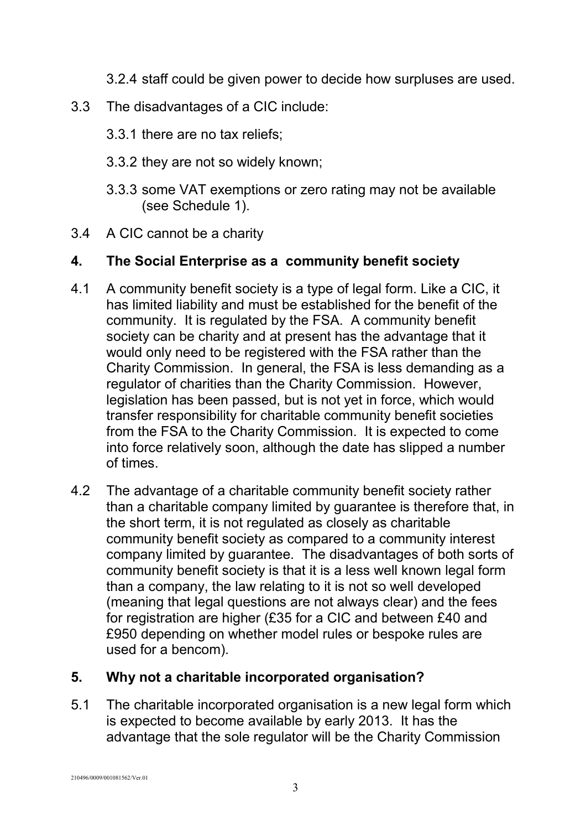3.2.4 staff could be given power to decide how surpluses are used.

- 3.3 The disadvantages of a CIC include:
	- 3.3.1 there are no tax reliefs;
	- 3.3.2 they are not so widely known;
	- 3.3.3 some VAT exemptions or zero rating may not be available (see Schedule 1).
- 3.4 A CIC cannot be a charity

## **4. The Social Enterprise as a community benefit society**

- 4.1 A community benefit society is a type of legal form. Like a CIC, it has limited liability and must be established for the benefit of the community. It is regulated by the FSA. A community benefit society can be charity and at present has the advantage that it would only need to be registered with the FSA rather than the Charity Commission. In general, the FSA is less demanding as a regulator of charities than the Charity Commission. However, legislation has been passed, but is not yet in force, which would transfer responsibility for charitable community benefit societies from the FSA to the Charity Commission. It is expected to come into force relatively soon, although the date has slipped a number of times.
- 4.2 The advantage of a charitable community benefit society rather than a charitable company limited by guarantee is therefore that, in the short term, it is not regulated as closely as charitable community benefit society as compared to a community interest company limited by guarantee. The disadvantages of both sorts of community benefit society is that it is a less well known legal form than a company, the law relating to it is not so well developed (meaning that legal questions are not always clear) and the fees for registration are higher (£35 for a CIC and between £40 and £950 depending on whether model rules or bespoke rules are used for a bencom).

## **5. Why not a charitable incorporated organisation?**

5.1 The charitable incorporated organisation is a new legal form which is expected to become available by early 2013. It has the advantage that the sole regulator will be the Charity Commission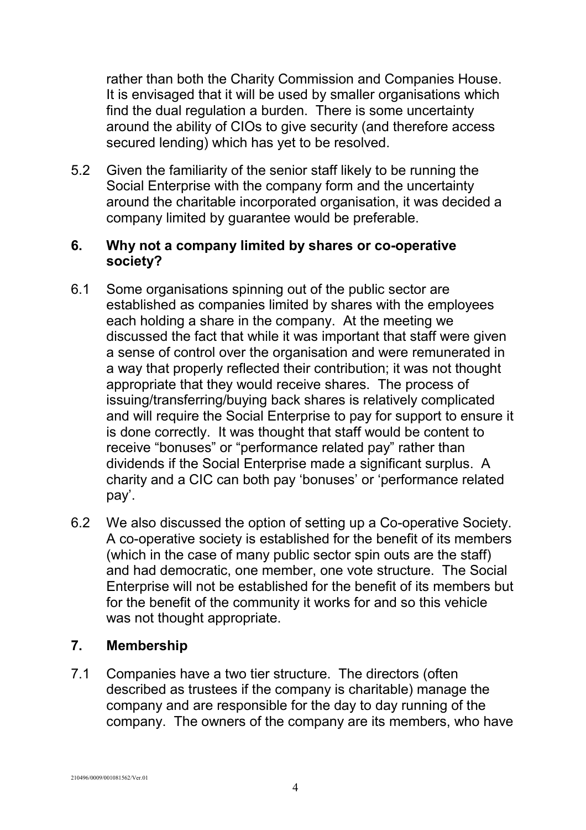rather than both the Charity Commission and Companies House. It is envisaged that it will be used by smaller organisations which find the dual regulation a burden. There is some uncertainty around the ability of CIOs to give security (and therefore access secured lending) which has yet to be resolved.

5.2 Given the familiarity of the senior staff likely to be running the Social Enterprise with the company form and the uncertainty around the charitable incorporated organisation, it was decided a company limited by guarantee would be preferable.

#### **6. Why not a company limited by shares or co-operative society?**

- 6.1 Some organisations spinning out of the public sector are established as companies limited by shares with the employees each holding a share in the company. At the meeting we discussed the fact that while it was important that staff were given a sense of control over the organisation and were remunerated in a way that properly reflected their contribution; it was not thought appropriate that they would receive shares. The process of issuing/transferring/buying back shares is relatively complicated and will require the Social Enterprise to pay for support to ensure it is done correctly. It was thought that staff would be content to receive "bonuses" or "performance related pay" rather than dividends if the Social Enterprise made a significant surplus. A charity and a CIC can both pay 'bonuses' or 'performance related pay'.
- 6.2 We also discussed the option of setting up a Co-operative Society. A co-operative society is established for the benefit of its members (which in the case of many public sector spin outs are the staff) and had democratic, one member, one vote structure. The Social Enterprise will not be established for the benefit of its members but for the benefit of the community it works for and so this vehicle was not thought appropriate.

#### **7. Membership**

7.1 Companies have a two tier structure. The directors (often described as trustees if the company is charitable) manage the company and are responsible for the day to day running of the company. The owners of the company are its members, who have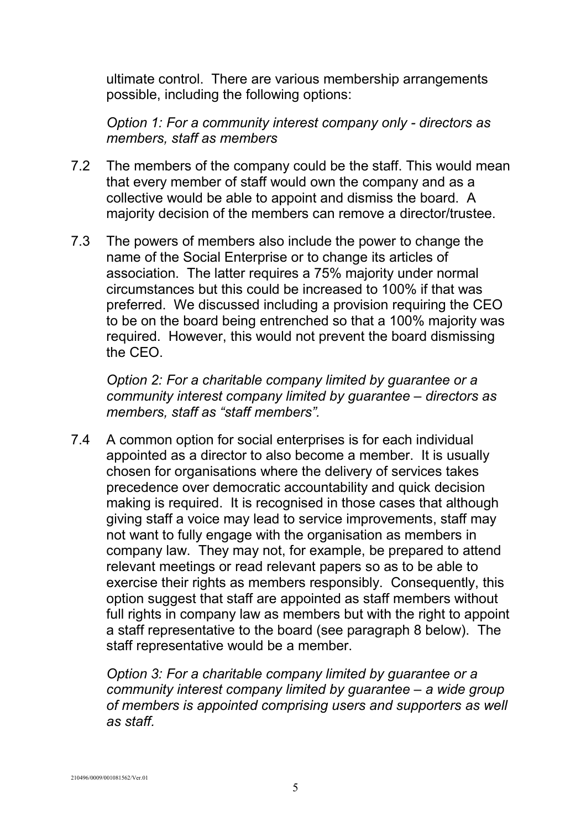ultimate control. There are various membership arrangements possible, including the following options:

*Option 1: For a community interest company only - directors as members, staff as members* 

- 7.2 The members of the company could be the staff. This would mean that every member of staff would own the company and as a collective would be able to appoint and dismiss the board. A majority decision of the members can remove a director/trustee.
- 7.3 The powers of members also include the power to change the name of the Social Enterprise or to change its articles of association. The latter requires a 75% majority under normal circumstances but this could be increased to 100% if that was preferred. We discussed including a provision requiring the CEO to be on the board being entrenched so that a 100% majority was required. However, this would not prevent the board dismissing the CEO.

*Option 2: For a charitable company limited by guarantee or a community interest company limited by guarantee – directors as members, staff as "staff members".* 

7.4 A common option for social enterprises is for each individual appointed as a director to also become a member. It is usually chosen for organisations where the delivery of services takes precedence over democratic accountability and quick decision making is required. It is recognised in those cases that although giving staff a voice may lead to service improvements, staff may not want to fully engage with the organisation as members in company law. They may not, for example, be prepared to attend relevant meetings or read relevant papers so as to be able to exercise their rights as members responsibly. Consequently, this option suggest that staff are appointed as staff members without full rights in company law as members but with the right to appoint a staff representative to the board (see paragraph 8 below). The staff representative would be a member.

*Option 3: For a charitable company limited by guarantee or a community interest company limited by guarantee – a wide group of members is appointed comprising users and supporters as well as staff.*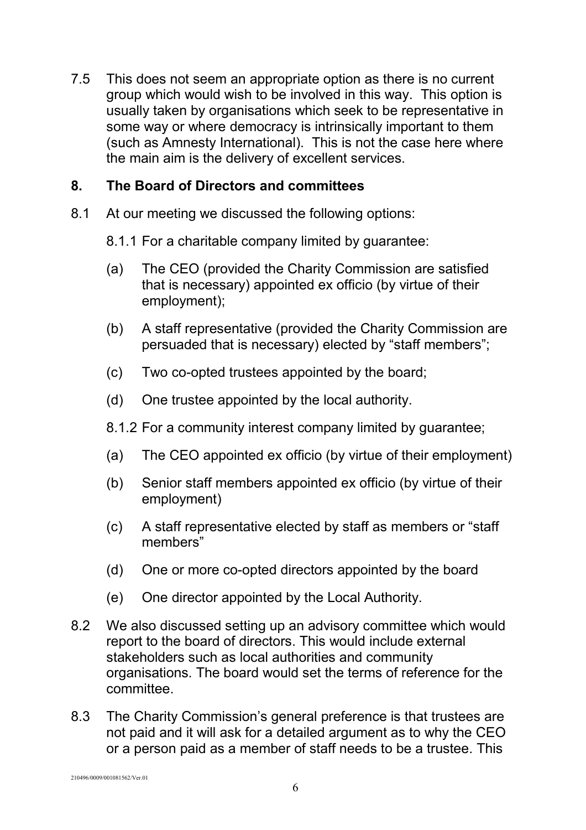7.5 This does not seem an appropriate option as there is no current group which would wish to be involved in this way. This option is usually taken by organisations which seek to be representative in some way or where democracy is intrinsically important to them (such as Amnesty International). This is not the case here where the main aim is the delivery of excellent services.

#### **8. The Board of Directors and committees**

8.1 At our meeting we discussed the following options:

8.1.1 For a charitable company limited by guarantee:

- (a) The CEO (provided the Charity Commission are satisfied that is necessary) appointed ex officio (by virtue of their employment);
- (b) A staff representative (provided the Charity Commission are persuaded that is necessary) elected by "staff members";
- (c) Two co-opted trustees appointed by the board;
- (d) One trustee appointed by the local authority.
- 8.1.2 For a community interest company limited by guarantee;
- (a) The CEO appointed ex officio (by virtue of their employment)
- (b) Senior staff members appointed ex officio (by virtue of their employment)
- (c) A staff representative elected by staff as members or "staff members"
- (d) One or more co-opted directors appointed by the board
- (e) One director appointed by the Local Authority.
- 8.2 We also discussed setting up an advisory committee which would report to the board of directors. This would include external stakeholders such as local authorities and community organisations. The board would set the terms of reference for the committee.
- 8.3 The Charity Commission's general preference is that trustees are not paid and it will ask for a detailed argument as to why the CEO or a person paid as a member of staff needs to be a trustee. This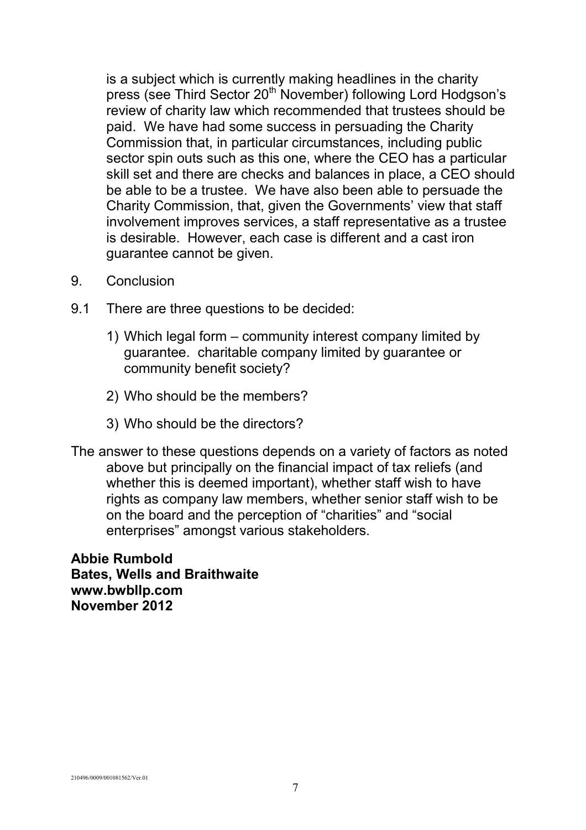is a subject which is currently making headlines in the charity press (see Third Sector 20<sup>th</sup> November) following Lord Hodgson's review of charity law which recommended that trustees should be paid. We have had some success in persuading the Charity Commission that, in particular circumstances, including public sector spin outs such as this one, where the CEO has a particular skill set and there are checks and balances in place, a CEO should be able to be a trustee. We have also been able to persuade the Charity Commission, that, given the Governments' view that staff involvement improves services, a staff representative as a trustee is desirable. However, each case is different and a cast iron guarantee cannot be given.

- 9. Conclusion
- 9.1 There are three questions to be decided:
	- 1) Which legal form community interest company limited by guarantee. charitable company limited by guarantee or community benefit society?
	- 2) Who should be the members?
	- 3) Who should be the directors?
- The answer to these questions depends on a variety of factors as noted above but principally on the financial impact of tax reliefs (and whether this is deemed important), whether staff wish to have rights as company law members, whether senior staff wish to be on the board and the perception of "charities" and "social enterprises" amongst various stakeholders.

**Abbie Rumbold Bates, Wells and Braithwaite www.bwbllp.com November 2012**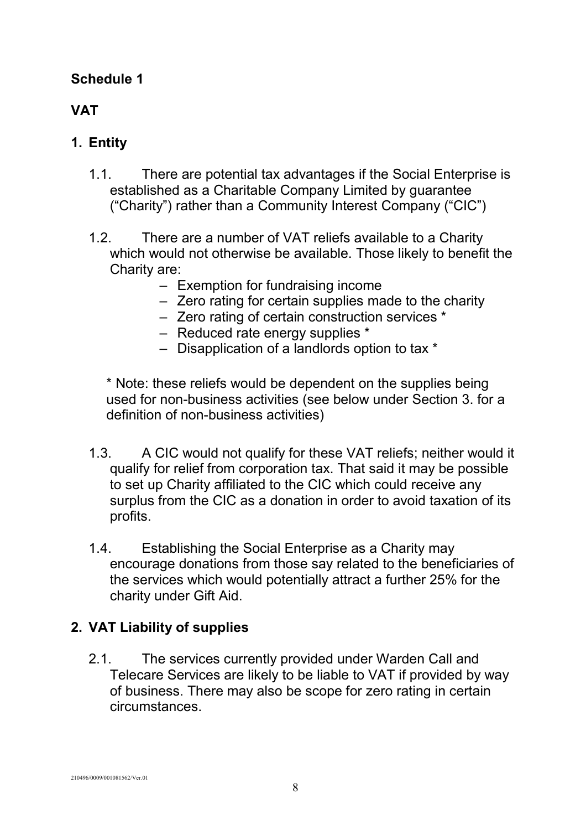## **Schedule 1**

# **VAT**

## **1. Entity**

- 1.1. There are potential tax advantages if the Social Enterprise is established as a Charitable Company Limited by guarantee ("Charity") rather than a Community Interest Company ("CIC")
- 1.2. There are a number of VAT reliefs available to a Charity which would not otherwise be available. Those likely to benefit the Charity are:
	- Exemption for fundraising income
	- Zero rating for certain supplies made to the charity
	- Zero rating of certain construction services \*
	- Reduced rate energy supplies \*
	- Disapplication of a landlords option to tax \*

\* Note: these reliefs would be dependent on the supplies being used for non-business activities (see below under Section 3. for a definition of non-business activities)

- 1.3. A CIC would not qualify for these VAT reliefs; neither would it qualify for relief from corporation tax. That said it may be possible to set up Charity affiliated to the CIC which could receive any surplus from the CIC as a donation in order to avoid taxation of its profits.
- 1.4. Establishing the Social Enterprise as a Charity may encourage donations from those say related to the beneficiaries of the services which would potentially attract a further 25% for the charity under Gift Aid.

# **2. VAT Liability of supplies**

2.1. The services currently provided under Warden Call and Telecare Services are likely to be liable to VAT if provided by way of business. There may also be scope for zero rating in certain circumstances.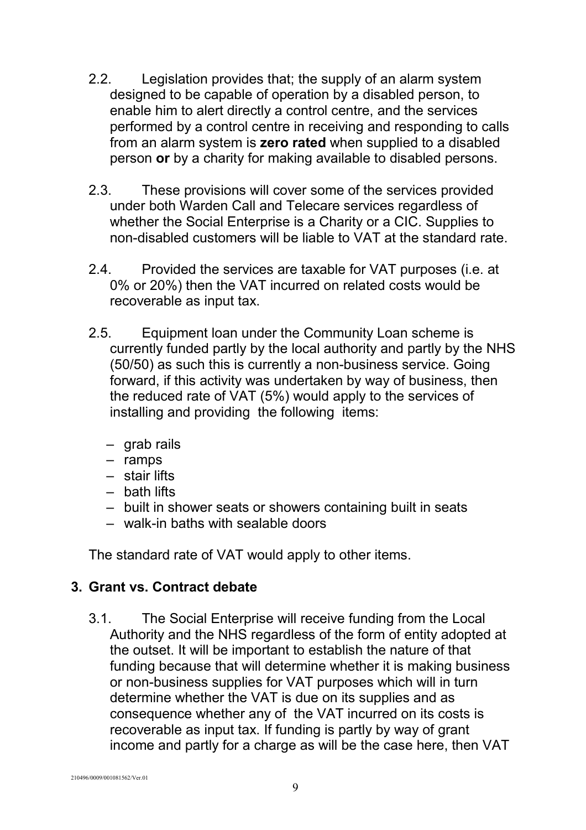- 2.2. Legislation provides that; the supply of an alarm system designed to be capable of operation by a disabled person, to enable him to alert directly a control centre, and the services performed by a control centre in receiving and responding to calls from an alarm system is **zero rated** when supplied to a disabled person **or** by a charity for making available to disabled persons.
- 2.3. These provisions will cover some of the services provided under both Warden Call and Telecare services regardless of whether the Social Enterprise is a Charity or a CIC. Supplies to non-disabled customers will be liable to VAT at the standard rate.
- 2.4. Provided the services are taxable for VAT purposes (i.e. at 0% or 20%) then the VAT incurred on related costs would be recoverable as input tax.
- 2.5. Equipment loan under the Community Loan scheme is currently funded partly by the local authority and partly by the NHS (50/50) as such this is currently a non-business service. Going forward, if this activity was undertaken by way of business, then the reduced rate of VAT (5%) would apply to the services of installing and providing the following items:
	- grab rails
	- ramps
	- stair lifts
	- bath lifts
	- built in shower seats or showers containing built in seats
	- walk-in baths with sealable doors

The standard rate of VAT would apply to other items.

## **3. Grant vs. Contract debate**

3.1. The Social Enterprise will receive funding from the Local Authority and the NHS regardless of the form of entity adopted at the outset. It will be important to establish the nature of that funding because that will determine whether it is making business or non-business supplies for VAT purposes which will in turn determine whether the VAT is due on its supplies and as consequence whether any of the VAT incurred on its costs is recoverable as input tax. If funding is partly by way of grant income and partly for a charge as will be the case here, then VAT